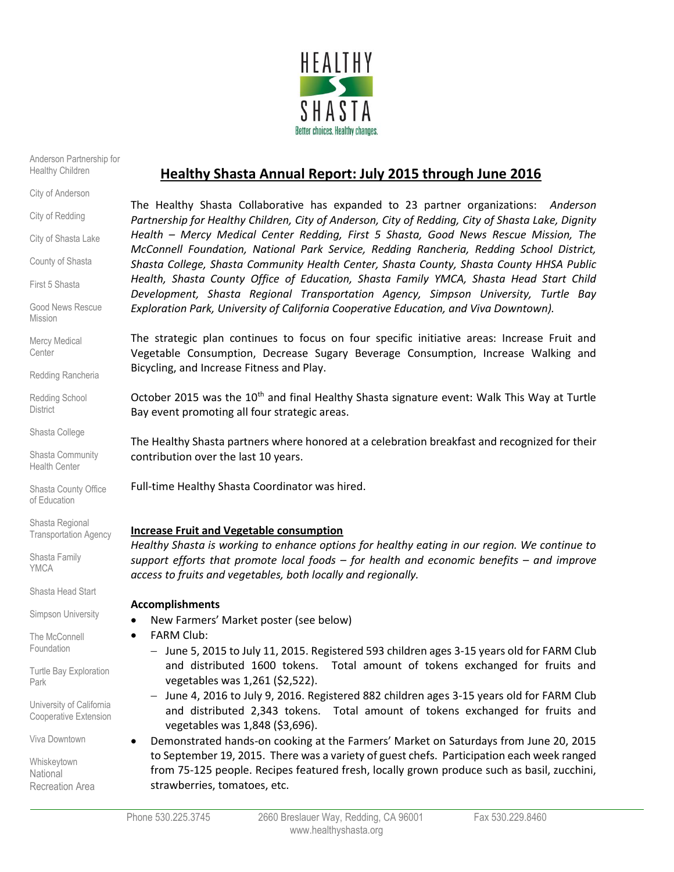

Anderson Partnership for Healthy Children

City of Anderson

City of Redding

City of Shasta Lake

County of Shasta

First 5 Shasta

Good News Rescue Mission

Mercy Medical **Center** 

Redding Rancheria

Redding School **District** 

Shasta College

Shasta Community Health Center

Shasta County Office of Education

Shasta Regional Transportation Agency

Shasta Family YMCA

Shasta Head Start

Simpson University

The McConnell Foundation

Turtle Bay Exploration Park

University of California Cooperative Extension

Viva Downtown

Whiskeytown **National** Recreation Area

# **Healthy Shasta Annual Report: July 2015 through June 2016**

The Healthy Shasta Collaborative has expanded to 23 partner organizations: *Anderson Partnership for Healthy Children, City of Anderson, City of Redding, City of Shasta Lake, Dignity Health – Mercy Medical Center Redding, First 5 Shasta, Good News Rescue Mission, The McConnell Foundation, National Park Service, Redding Rancheria, Redding School District, Shasta College, Shasta Community Health Center, Shasta County, Shasta County HHSA Public Health, Shasta County Office of Education, Shasta Family YMCA, Shasta Head Start Child Development, Shasta Regional Transportation Agency, Simpson University, Turtle Bay Exploration Park, University of California Cooperative Education, and Viva Downtown).*

The strategic plan continues to focus on four specific initiative areas: Increase Fruit and Vegetable Consumption, Decrease Sugary Beverage Consumption, Increase Walking and Bicycling, and Increase Fitness and Play.

October 2015 was the 10<sup>th</sup> and final Healthy Shasta signature event: Walk This Way at Turtle Bay event promoting all four strategic areas.

The Healthy Shasta partners where honored at a celebration breakfast and recognized for their contribution over the last 10 years.

Full-time Healthy Shasta Coordinator was hired.

# **Increase Fruit and Vegetable consumption**

*Healthy Shasta is working to enhance options for healthy eating in our region. We continue to support efforts that promote local foods – for health and economic benefits – and improve access to fruits and vegetables, both locally and regionally.*

#### **Accomplishments**

- New Farmers' Market poster (see below)
- FARM Club:
	- June 5, 2015 to July 11, 2015. Registered 593 children ages 3-15 years old for FARM Club and distributed 1600 tokens. Total amount of tokens exchanged for fruits and vegetables was 1,261 (\$2,522).
	- June 4, 2016 to July 9, 2016. Registered 882 children ages 3-15 years old for FARM Club and distributed 2,343 tokens. Total amount of tokens exchanged for fruits and vegetables was 1,848 (\$3,696).
- Demonstrated hands-on cooking at the Farmers' Market on Saturdays from June 20, 2015 to September 19, 2015. There was a variety of guest chefs. Participation each week ranged from 75-125 people. Recipes featured fresh, locally grown produce such as basil, zucchini, strawberries, tomatoes, etc.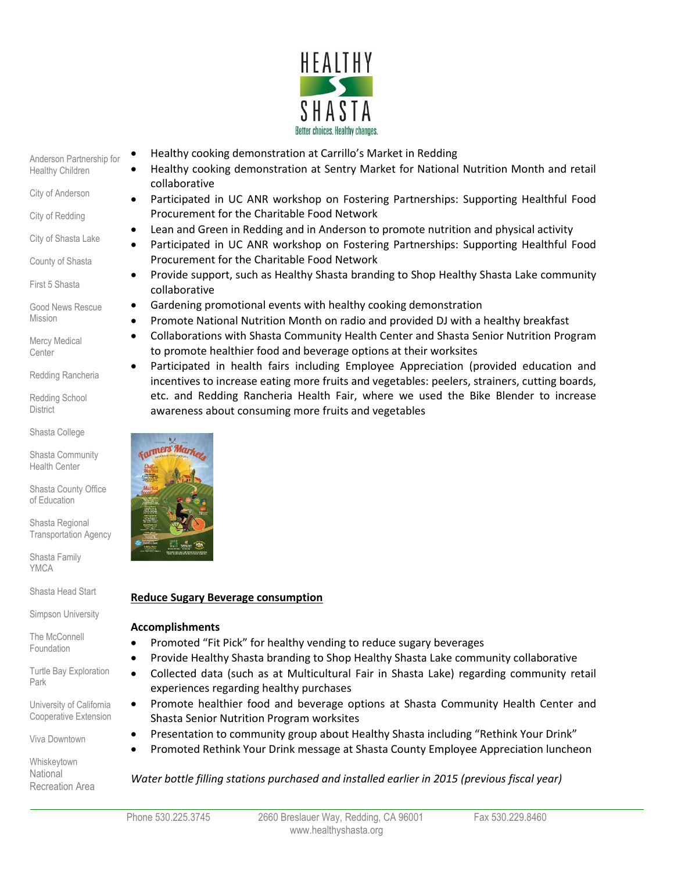

Anderson Partnership for Healthy Children

City of Anderson

City of Redding

City of Shasta Lake

County of Shasta

First 5 Shasta

Good News Rescue Mission

Mercy Medical **Center** 

Redding Rancheria

Redding School **District** 

Shasta College

Shasta Community Health Center

Shasta County Office of Education

Shasta Regional Transportation Agency

Shasta Family YMCA

Shasta Head Start Simpson University

The McConnell Foundation

Turtle Bay Exploration Park

University of California Cooperative Extension

Viva Downtown

Whiskeytown **National** Recreation Area

- Healthy cooking demonstration at Carrillo's Market in Redding
- Healthy cooking demonstration at Sentry Market for National Nutrition Month and retail collaborative
- Participated in UC ANR workshop on Fostering Partnerships: Supporting Healthful Food Procurement for the Charitable Food Network
- Lean and Green in Redding and in Anderson to promote nutrition and physical activity
- Participated in UC ANR workshop on Fostering Partnerships: Supporting Healthful Food Procurement for the Charitable Food Network
- Provide support, such as Healthy Shasta branding to Shop Healthy Shasta Lake community collaborative
- Gardening promotional events with healthy cooking demonstration
- Promote National Nutrition Month on radio and provided DJ with a healthy breakfast
- Collaborations with Shasta Community Health Center and Shasta Senior Nutrition Program to promote healthier food and beverage options at their worksites
- Participated in health fairs including Employee Appreciation (provided education and incentives to increase eating more fruits and vegetables: peelers, strainers, cutting boards, etc. and Redding Rancheria Health Fair, where we used the Bike Blender to increase awareness about consuming more fruits and vegetables



# **Reduce Sugary Beverage consumption**

# **Accomplishments**

- Promoted "Fit Pick" for healthy vending to reduce sugary beverages
- Provide Healthy Shasta branding to Shop Healthy Shasta Lake community collaborative
- Collected data (such as at Multicultural Fair in Shasta Lake) regarding community retail experiences regarding healthy purchases
- Promote healthier food and beverage options at Shasta Community Health Center and Shasta Senior Nutrition Program worksites
- Presentation to community group about Healthy Shasta including "Rethink Your Drink"
- Promoted Rethink Your Drink message at Shasta County Employee Appreciation luncheon

*Water bottle filling stations purchased and installed earlier in 2015 (previous fiscal year)*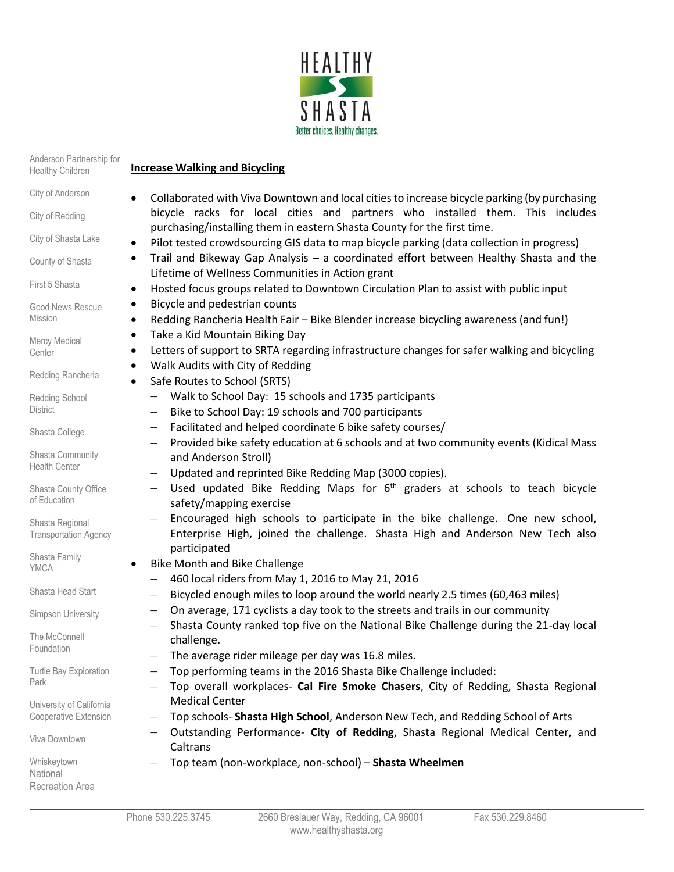

| Anderson Partnership for<br>Healthy Children    | <b>Increase Walking and Bicycling</b>                                                                                                                                                                                                                                                                                                                                                                      |  |  |
|-------------------------------------------------|------------------------------------------------------------------------------------------------------------------------------------------------------------------------------------------------------------------------------------------------------------------------------------------------------------------------------------------------------------------------------------------------------------|--|--|
| City of Anderson                                | Collaborated with Viva Downtown and local cities to increase bicycle parking (by purchasing                                                                                                                                                                                                                                                                                                                |  |  |
| City of Redding                                 | bicycle racks for local cities and partners who installed them. This includes<br>purchasing/installing them in eastern Shasta County for the first time.<br>Pilot tested crowdsourcing GIS data to map bicycle parking (data collection in progress)<br>٠<br>Trail and Bikeway Gap Analysis - a coordinated effort between Healthy Shasta and the<br>٠<br>Lifetime of Wellness Communities in Action grant |  |  |
| City of Shasta Lake                             |                                                                                                                                                                                                                                                                                                                                                                                                            |  |  |
| County of Shasta                                |                                                                                                                                                                                                                                                                                                                                                                                                            |  |  |
| First 5 Shasta                                  | Hosted focus groups related to Downtown Circulation Plan to assist with public input<br>٠                                                                                                                                                                                                                                                                                                                  |  |  |
| Good News Rescue<br><b>Mission</b>              | Bicycle and pedestrian counts<br>٠<br>Redding Rancheria Health Fair - Bike Blender increase bicycling awareness (and fun!)<br>$\bullet$                                                                                                                                                                                                                                                                    |  |  |
| Mercy Medical                                   | Take a Kid Mountain Biking Day<br>$\bullet$                                                                                                                                                                                                                                                                                                                                                                |  |  |
| Center                                          | Letters of support to SRTA regarding infrastructure changes for safer walking and bicycling<br>٠<br>Walk Audits with City of Redding<br>$\bullet$                                                                                                                                                                                                                                                          |  |  |
| Redding Rancheria                               | Safe Routes to School (SRTS)<br>$\bullet$                                                                                                                                                                                                                                                                                                                                                                  |  |  |
| Redding School<br>District                      | Walk to School Day: 15 schools and 1735 participants<br>Bike to School Day: 19 schools and 700 participants<br>$\qquad \qquad -$                                                                                                                                                                                                                                                                           |  |  |
| Shasta College                                  | Facilitated and helped coordinate 6 bike safety courses/<br>$\qquad \qquad -$                                                                                                                                                                                                                                                                                                                              |  |  |
| Shasta Community<br><b>Health Center</b>        | Provided bike safety education at 6 schools and at two community events (Kidical Mass<br>$\qquad \qquad -$<br>and Anderson Stroll)<br>Updated and reprinted Bike Redding Map (3000 copies).<br>$\qquad \qquad -$                                                                                                                                                                                           |  |  |
| Shasta County Office<br>of Education            | Used updated Bike Redding Maps for $6th$ graders at schools to teach bicycle<br>$\qquad \qquad -$<br>safety/mapping exercise                                                                                                                                                                                                                                                                               |  |  |
| Shasta Regional<br><b>Transportation Agency</b> | Encouraged high schools to participate in the bike challenge. One new school,<br>Enterprise High, joined the challenge. Shasta High and Anderson New Tech also<br>participated                                                                                                                                                                                                                             |  |  |
| Shasta Family<br><b>YMCA</b>                    | <b>Bike Month and Bike Challenge</b><br>٠                                                                                                                                                                                                                                                                                                                                                                  |  |  |
|                                                 | 460 local riders from May 1, 2016 to May 21, 2016                                                                                                                                                                                                                                                                                                                                                          |  |  |
| Shasta Head Start                               | Bicycled enough miles to loop around the world nearly 2.5 times (60,463 miles)<br>$\qquad \qquad \longleftarrow$                                                                                                                                                                                                                                                                                           |  |  |
| Simpson University                              | On average, 171 cyclists a day took to the streets and trails in our community<br>$\qquad \qquad -$<br>Shasta County ranked top five on the National Bike Challenge during the 21-day local                                                                                                                                                                                                                |  |  |
| The McConnell<br>Foundation                     | challenge.<br>The average rider mileage per day was 16.8 miles.                                                                                                                                                                                                                                                                                                                                            |  |  |
| Turtle Bay Exploration<br>Park                  | Top performing teams in the 2016 Shasta Bike Challenge included:<br>Top overall workplaces- Cal Fire Smoke Chasers, City of Redding, Shasta Regional                                                                                                                                                                                                                                                       |  |  |
| University of California                        | <b>Medical Center</b>                                                                                                                                                                                                                                                                                                                                                                                      |  |  |
| Cooperative Extension                           | Top schools- Shasta High School, Anderson New Tech, and Redding School of Arts                                                                                                                                                                                                                                                                                                                             |  |  |
| Viva Downtown                                   | Outstanding Performance- City of Redding, Shasta Regional Medical Center, and<br>Caltrans                                                                                                                                                                                                                                                                                                                  |  |  |
| Whiskeytown<br>National<br>Recreation Area      | Top team (non-workplace, non-school) - Shasta Wheelmen                                                                                                                                                                                                                                                                                                                                                     |  |  |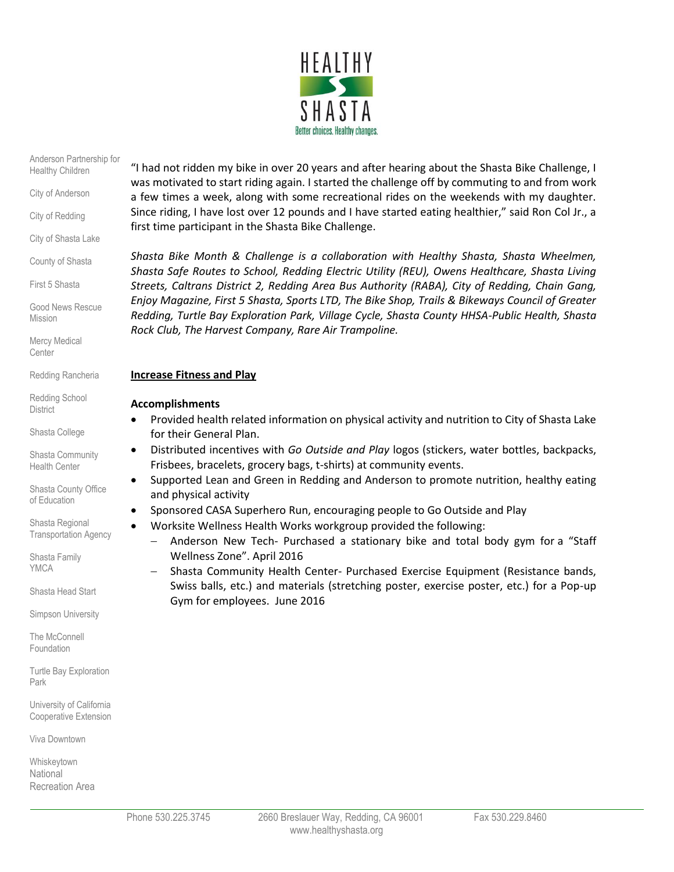

#### Anderson Partnership for Healthy Children

City of Anderson

City of Redding

City of Shasta Lake

County of Shasta

First 5 Shasta

Good News Rescue Mission

Mercy Medical **Center** 

Redding Rancheria

Redding School **District** 

Shasta College

Shasta Community Health Center

Shasta County Office of Education

Shasta Regional Transportation Agency

Shasta Family YMCA

Shasta Head Start

Simpson University

The McConnell Foundation

Turtle Bay Exploration Park

University of California Cooperative Extension

Viva Downtown

Whiskeytown **National** Recreation Area "I had not ridden my bike in over 20 years and after hearing about the Shasta Bike Challenge, I was motivated to start riding again. I started the challenge off by commuting to and from work a few times a week, along with some recreational rides on the weekends with my daughter. Since riding, I have lost over 12 pounds and I have started eating healthier," said Ron Col Jr., a first time participant in the Shasta Bike Challenge.

*Shasta Bike Month & Challenge is a collaboration with Healthy Shasta, Shasta Wheelmen, Shasta Safe Routes to School, Redding Electric Utility (REU), Owens Healthcare, Shasta Living Streets, Caltrans District 2, Redding Area Bus Authority (RABA), City of Redding, Chain Gang, Enjoy Magazine, First 5 Shasta, Sports LTD, The Bike Shop, Trails & Bikeways Council of Greater Redding, Turtle Bay Exploration Park, Village Cycle, Shasta County HHSA-Public Health, Shasta Rock Club, The Harvest Company, Rare Air Trampoline.*

#### **Increase Fitness and Play**

# **Accomplishments**

- Provided health related information on physical activity and nutrition to City of Shasta Lake for their General Plan.
- Distributed incentives with *Go Outside and Play* logos (stickers, water bottles, backpacks, Frisbees, bracelets, grocery bags, t-shirts) at community events.
- Supported Lean and Green in Redding and Anderson to promote nutrition, healthy eating and physical activity
- Sponsored CASA Superhero Run, encouraging people to Go Outside and Play
- Worksite Wellness Health Works workgroup provided the following:
	- Anderson New Tech- Purchased a stationary bike and total body gym for a "Staff Wellness Zone". April 2016
	- Shasta Community Health Center- Purchased Exercise Equipment (Resistance bands, Swiss balls, etc.) and materials (stretching poster, exercise poster, etc.) for a Pop-up Gym for employees. June 2016